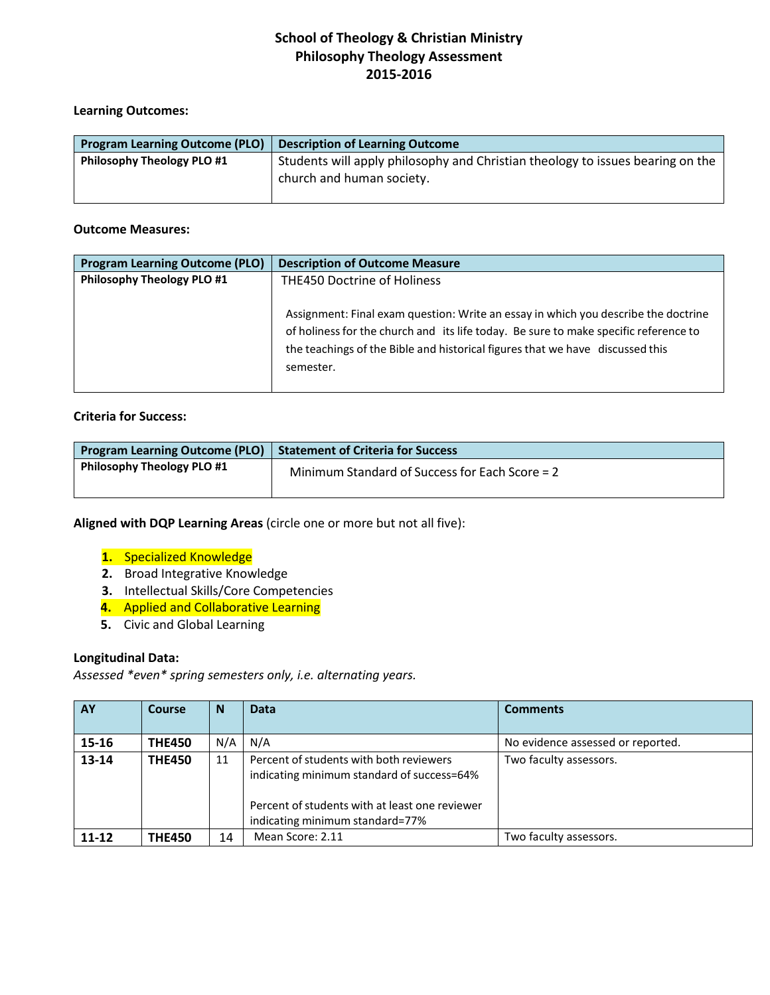# **Learning Outcomes:**

| <b>Program Learning Outcome (PLO)</b> | <b>Description of Learning Outcome</b>                                                                      |
|---------------------------------------|-------------------------------------------------------------------------------------------------------------|
| <b>Philosophy Theology PLO #1</b>     | Students will apply philosophy and Christian theology to issues bearing on the<br>church and human society. |

#### **Outcome Measures:**

| <b>Program Learning Outcome (PLO)</b> | <b>Description of Outcome Measure</b>                                                                                                                                                                                                                                    |
|---------------------------------------|--------------------------------------------------------------------------------------------------------------------------------------------------------------------------------------------------------------------------------------------------------------------------|
| <b>Philosophy Theology PLO #1</b>     | <b>THE450 Doctrine of Holiness</b>                                                                                                                                                                                                                                       |
|                                       | Assignment: Final exam question: Write an essay in which you describe the doctrine<br>of holiness for the church and its life today. Be sure to make specific reference to<br>the teachings of the Bible and historical figures that we have discussed this<br>semester. |

# **Criteria for Success:**

| <b>Program Learning Outcome (PLO)</b> | Statement of Criteria for Success              |
|---------------------------------------|------------------------------------------------|
| <b>Philosophy Theology PLO #1</b>     | Minimum Standard of Success for Each Score = 2 |

**Aligned with DQP Learning Areas** (circle one or more but not all five):

- **1.** Specialized Knowledge
- **2.** Broad Integrative Knowledge
- **3.** Intellectual Skills/Core Competencies
- **4.** Applied and Collaborative Learning
- **5.** Civic and Global Learning

### **Longitudinal Data:**

*Assessed \*even\* spring semesters only, i.e. alternating years.*

| AY        | Course        | <b>N</b> | <b>Data</b>                                                                                                                                                                | <b>Comments</b>                   |
|-----------|---------------|----------|----------------------------------------------------------------------------------------------------------------------------------------------------------------------------|-----------------------------------|
| 15-16     | <b>THE450</b> | N/A      | N/A                                                                                                                                                                        | No evidence assessed or reported. |
| $13 - 14$ | <b>THE450</b> | 11       | Percent of students with both reviewers<br>indicating minimum standard of success=64%<br>Percent of students with at least one reviewer<br>indicating minimum standard=77% | Two faculty assessors.            |
| $11 - 12$ | <b>THE450</b> | 14       | Mean Score: 2.11                                                                                                                                                           | Two faculty assessors.            |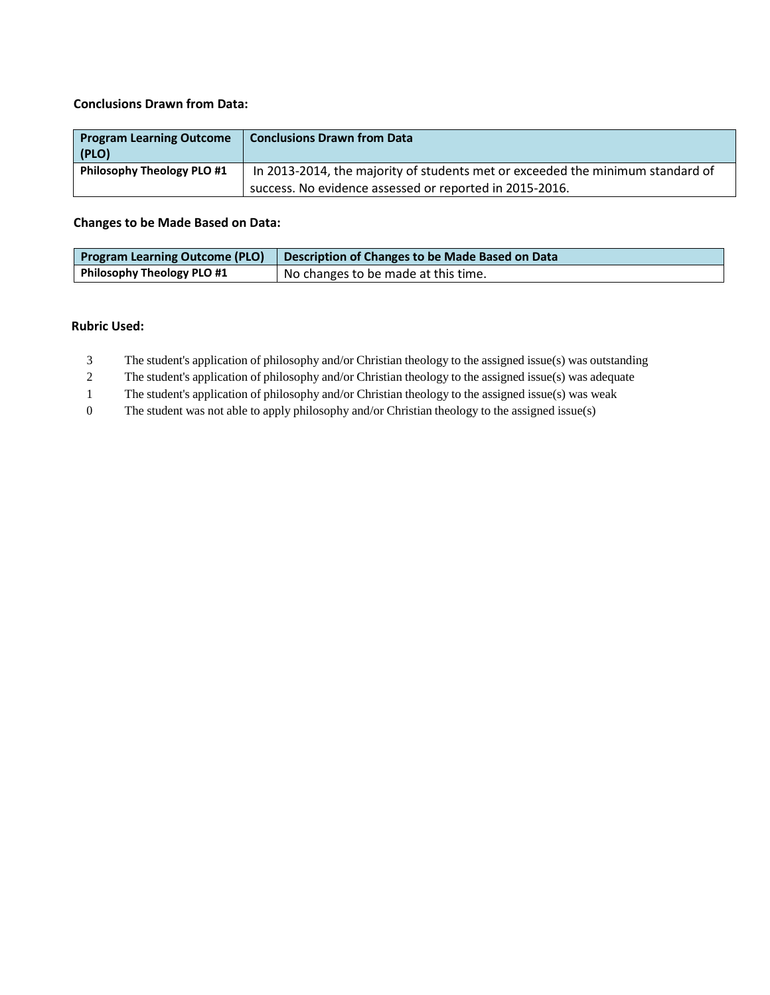### **Conclusions Drawn from Data:**

| <b>Program Learning Outcome</b><br>(PLO) | <b>Conclusions Drawn from Data</b>                                             |
|------------------------------------------|--------------------------------------------------------------------------------|
| <b>Philosophy Theology PLO #1</b>        | In 2013-2014, the majority of students met or exceeded the minimum standard of |
|                                          | success. No evidence assessed or reported in 2015-2016.                        |

# **Changes to be Made Based on Data:**

| Program Learning Outcome (PLO) | Description of Changes to be Made Based on Data |
|--------------------------------|-------------------------------------------------|
| Philosophy Theology PLO #1     | I No changes to be made at this time.           |

#### **Rubric Used:**

- 3 The student's application of philosophy and/or Christian theology to the assigned issue(s) was outstanding
- 2 The student's application of philosophy and/or Christian theology to the assigned issue(s) was adequate
- 1 The student's application of philosophy and/or Christian theology to the assigned issue(s) was weak
- 0 The student was not able to apply philosophy and/or Christian theology to the assigned issue(s)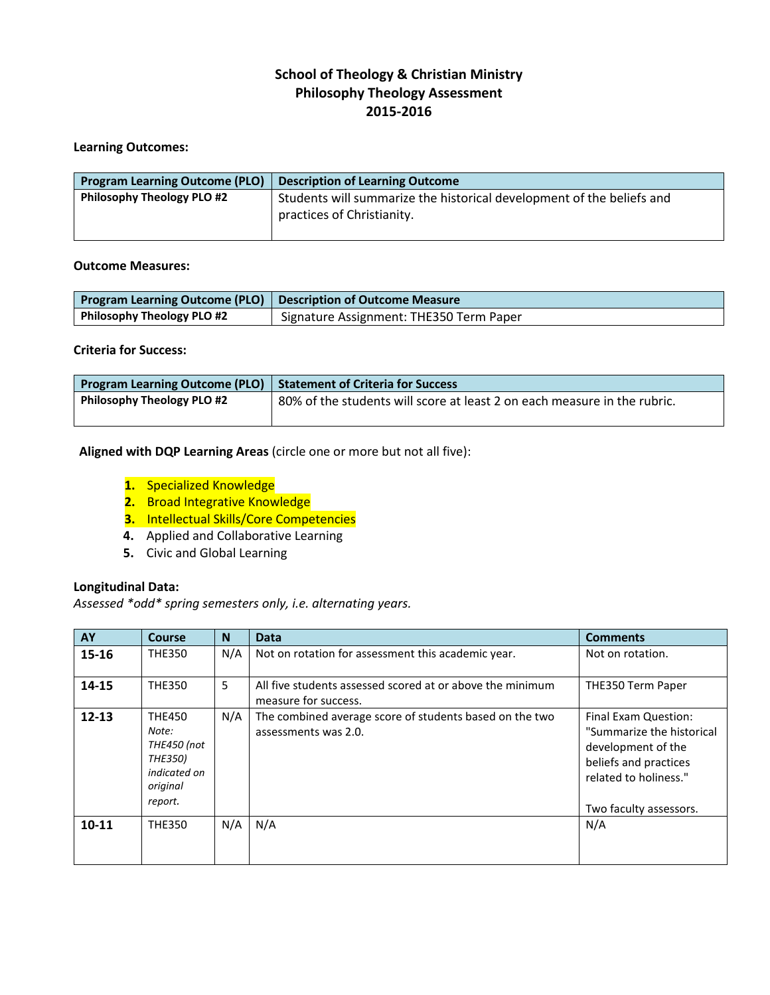# **Learning Outcomes:**

| <b>Program Learning Outcome (PLO)</b> | <b>Description of Learning Outcome</b>                                                              |
|---------------------------------------|-----------------------------------------------------------------------------------------------------|
| <b>Philosophy Theology PLO #2</b>     | Students will summarize the historical development of the beliefs and<br>practices of Christianity. |

# **Outcome Measures:**

| <b>Program Learning Outcome (PLO)</b> Description of Outcome Measure |                                         |
|----------------------------------------------------------------------|-----------------------------------------|
| Philosophy Theology PLO #2                                           | Signature Assignment: THE350 Term Paper |

# **Criteria for Success:**

| Program Learning Outcome (PLO)   Statement of Criteria for Success |                                                                          |  |
|--------------------------------------------------------------------|--------------------------------------------------------------------------|--|
| Philosophy Theology PLO #2                                         | 80% of the students will score at least 2 on each measure in the rubric. |  |
|                                                                    |                                                                          |  |

**Aligned with DQP Learning Areas** (circle one or more but not all five):

- **1.** Specialized Knowledge
- **2.** Broad Integrative Knowledge
- **3.** Intellectual Skills/Core Competencies
- **4.** Applied and Collaborative Learning
- **5.** Civic and Global Learning

# **Longitudinal Data:**

*Assessed \*odd\* spring semesters only, i.e. alternating years.* 

| AY        | Course                                                                                         | N   | <b>Data</b>                                                                       | <b>Comments</b>                                                                                                                                     |
|-----------|------------------------------------------------------------------------------------------------|-----|-----------------------------------------------------------------------------------|-----------------------------------------------------------------------------------------------------------------------------------------------------|
| 15-16     | <b>THE350</b>                                                                                  | N/A | Not on rotation for assessment this academic year.                                | Not on rotation.                                                                                                                                    |
| 14-15     | <b>THE350</b>                                                                                  | 5   | All five students assessed scored at or above the minimum<br>measure for success. | THE350 Term Paper                                                                                                                                   |
| $12 - 13$ | <b>THE450</b><br>Note:<br>THE450 (not<br><b>THE350)</b><br>indicated on<br>original<br>report. | N/A | The combined average score of students based on the two<br>assessments was 2.0.   | Final Exam Question:<br>"Summarize the historical<br>development of the<br>beliefs and practices<br>related to holiness."<br>Two faculty assessors. |
| $10 - 11$ | <b>THE350</b>                                                                                  | N/A | N/A                                                                               | N/A                                                                                                                                                 |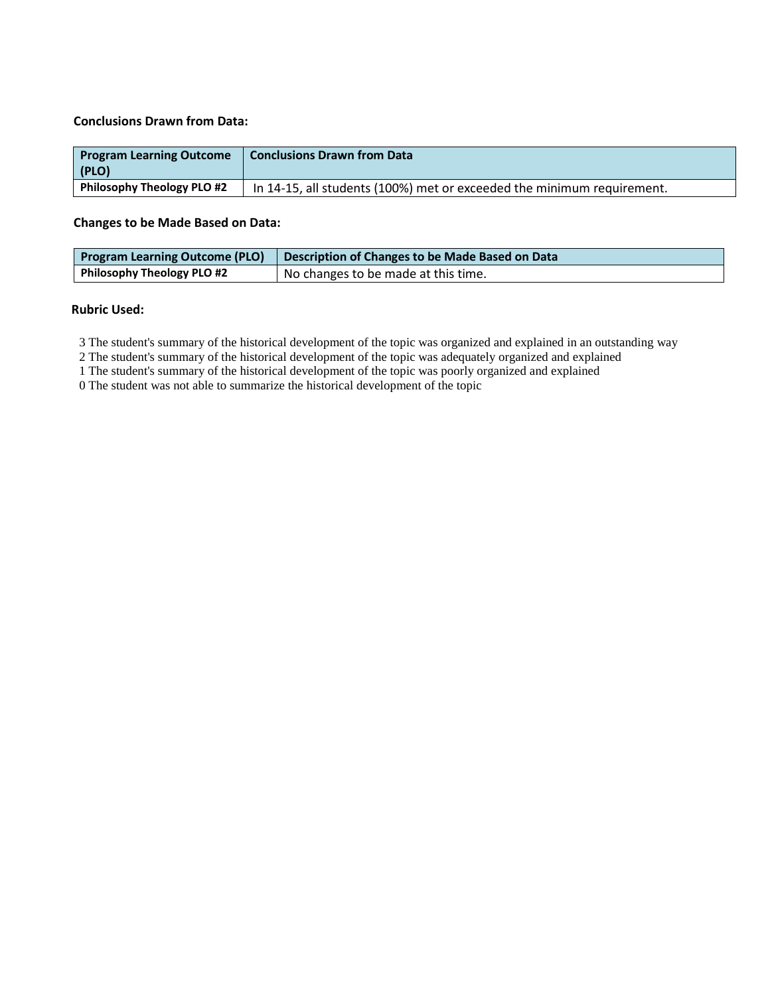#### **Conclusions Drawn from Data:**

| <b>Program Learning Outcome</b><br>(PLO) | <b>Conclusions Drawn from Data</b>                                     |
|------------------------------------------|------------------------------------------------------------------------|
| <b>Philosophy Theology PLO #2</b>        | In 14-15, all students (100%) met or exceeded the minimum requirement. |

### **Changes to be Made Based on Data:**

|                            | <b>Program Learning Outcome (PLO)</b>   Description of Changes to be Made Based on Data |
|----------------------------|-----------------------------------------------------------------------------------------|
| Philosophy Theology PLO #2 | No changes to be made at this time.                                                     |

#### **Rubric Used:**

3 The student's summary of the historical development of the topic was organized and explained in an outstanding way

2 The student's summary of the historical development of the topic was adequately organized and explained

1 The student's summary of the historical development of the topic was poorly organized and explained

0 The student was not able to summarize the historical development of the topic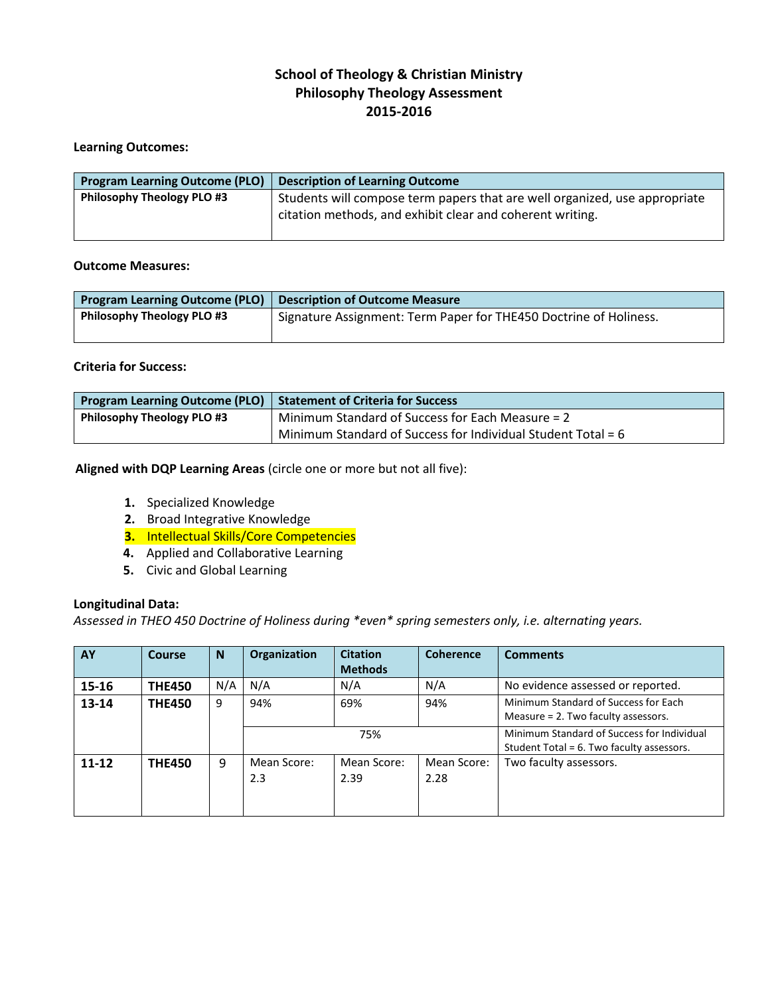# **Learning Outcomes:**

| <b>Program Learning Outcome (PLO)</b> | <b>Description of Learning Outcome</b>                                                                                                  |
|---------------------------------------|-----------------------------------------------------------------------------------------------------------------------------------------|
| <b>Philosophy Theology PLO #3</b>     | Students will compose term papers that are well organized, use appropriate<br>citation methods, and exhibit clear and coherent writing. |
|                                       |                                                                                                                                         |

### **Outcome Measures:**

| <b>Program Learning Outcome (PLO)</b> | <b>Description of Outcome Measure</b>                             |
|---------------------------------------|-------------------------------------------------------------------|
| <b>Philosophy Theology PLO #3</b>     | Signature Assignment: Term Paper for THE450 Doctrine of Holiness. |
|                                       |                                                                   |

# **Criteria for Success:**

| <b>Program Learning Outcome (PLO)</b> | Statement of Criteria for Success                            |
|---------------------------------------|--------------------------------------------------------------|
| <b>Philosophy Theology PLO #3</b>     | Minimum Standard of Success for Each Measure = 2             |
|                                       | Minimum Standard of Success for Individual Student Total = 6 |

## **Aligned with DQP Learning Areas** (circle one or more but not all five):

- **1.** Specialized Knowledge
- **2.** Broad Integrative Knowledge
- **3.** Intellectual Skills/Core Competencies
- **4.** Applied and Collaborative Learning
- **5.** Civic and Global Learning

#### **Longitudinal Data:**

*Assessed in THEO 450 Doctrine of Holiness during \*even\* spring semesters only, i.e. alternating years.*

| AY        | Course        | <sub>N</sub> | Organization       | <b>Citation</b><br><b>Methods</b> | <b>Coherence</b>    | <b>Comments</b>                                                                         |
|-----------|---------------|--------------|--------------------|-----------------------------------|---------------------|-----------------------------------------------------------------------------------------|
| 15-16     | <b>THE450</b> | N/A          | N/A                | N/A                               | N/A                 | No evidence assessed or reported.                                                       |
| $13 - 14$ | <b>THE450</b> | 9            | 94%                | 69%                               | 94%                 | Minimum Standard of Success for Each<br>Measure = 2. Two faculty assessors.             |
|           |               |              |                    | 75%                               |                     | Minimum Standard of Success for Individual<br>Student Total = 6. Two faculty assessors. |
| $11 - 12$ | <b>THE450</b> | 9            | Mean Score:<br>2.3 | Mean Score:<br>2.39               | Mean Score:<br>2.28 | Two faculty assessors.                                                                  |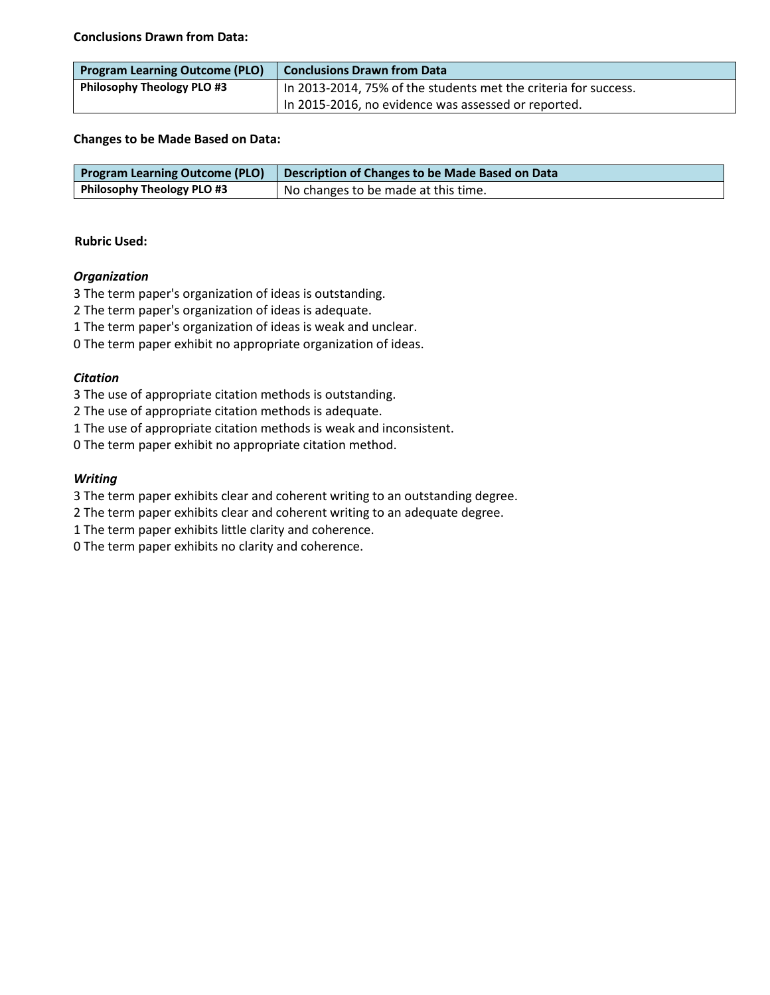**Conclusions Drawn from Data:**

| <b>Program Learning Outcome (PLO)</b> | Conclusions Drawn from Data                                     |
|---------------------------------------|-----------------------------------------------------------------|
| <b>Philosophy Theology PLO #3</b>     | In 2013-2014, 75% of the students met the criteria for success. |
|                                       | In 2015-2016, no evidence was assessed or reported.             |

# **Changes to be Made Based on Data:**

| <b>Program Learning Outcome (PLO)</b> | Description of Changes to be Made Based on Data |
|---------------------------------------|-------------------------------------------------|
| Philosophy Theology PLO #3            | I No changes to be made at this time.           |

# **Rubric Used:**

# *Organization*

3 The term paper's organization of ideas is outstanding.

2 The term paper's organization of ideas is adequate.

1 The term paper's organization of ideas is weak and unclear.

0 The term paper exhibit no appropriate organization of ideas.

# *Citation*

3 The use of appropriate citation methods is outstanding.

2 The use of appropriate citation methods is adequate.

1 The use of appropriate citation methods is weak and inconsistent.

0 The term paper exhibit no appropriate citation method.

# *Writing*

3 The term paper exhibits clear and coherent writing to an outstanding degree.

2 The term paper exhibits clear and coherent writing to an adequate degree.

1 The term paper exhibits little clarity and coherence.

0 The term paper exhibits no clarity and coherence.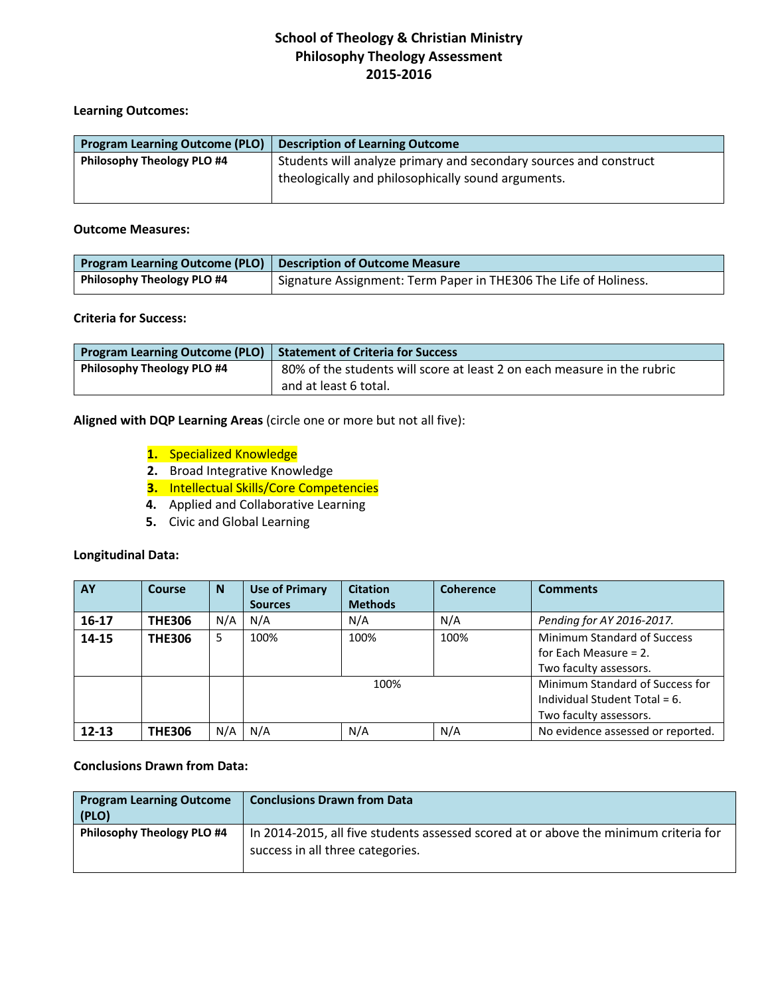### **Learning Outcomes:**

| <b>Program Learning Outcome (PLO)</b> | <b>Description of Learning Outcome</b>                                                                                  |
|---------------------------------------|-------------------------------------------------------------------------------------------------------------------------|
| <b>Philosophy Theology PLO #4</b>     | Students will analyze primary and secondary sources and construct<br>theologically and philosophically sound arguments. |
|                                       |                                                                                                                         |

### **Outcome Measures:**

|                                   | Program Learning Outcome (PLO) Description of Outcome Measure    |
|-----------------------------------|------------------------------------------------------------------|
| <b>Philosophy Theology PLO #4</b> | Signature Assignment: Term Paper in THE306 The Life of Holiness. |

# **Criteria for Success:**

| <b>Program Learning Outcome (PLO)</b> Statement of Criteria for Success |                                                                         |
|-------------------------------------------------------------------------|-------------------------------------------------------------------------|
| <b>Philosophy Theology PLO #4</b>                                       | 80% of the students will score at least 2 on each measure in the rubric |
|                                                                         | and at least 6 total.                                                   |

### **Aligned with DQP Learning Areas** (circle one or more but not all five):

# **1.** Specialized Knowledge

- **2.** Broad Integrative Knowledge
- **3.** Intellectual Skills/Core Competencies
- **4.** Applied and Collaborative Learning
- **5.** Civic and Global Learning

# **Longitudinal Data:**

| AY        | Course        | <sub>N</sub> | <b>Use of Primary</b> | <b>Citation</b> | <b>Coherence</b> | <b>Comments</b>                   |
|-----------|---------------|--------------|-----------------------|-----------------|------------------|-----------------------------------|
|           |               |              | <b>Sources</b>        | <b>Methods</b>  |                  |                                   |
| $16 - 17$ | <b>THE306</b> | N/A          | N/A                   | N/A             | N/A              | Pending for AY 2016-2017.         |
| 14-15     | <b>THE306</b> | 5            | 100%                  | 100%            | 100%             | Minimum Standard of Success       |
|           |               |              |                       |                 |                  | for Each Measure $= 2$ .          |
|           |               |              |                       |                 |                  | Two faculty assessors.            |
|           |               |              |                       | 100%            |                  | Minimum Standard of Success for   |
|           |               |              |                       |                 |                  | Individual Student Total = 6.     |
|           |               |              |                       |                 |                  | Two faculty assessors.            |
| $12 - 13$ | <b>THE306</b> | N/A          | N/A                   | N/A             | N/A              | No evidence assessed or reported. |

# **Conclusions Drawn from Data:**

| <b>Program Learning Outcome</b><br>(PLO) | <b>Conclusions Drawn from Data</b>                                                                                       |
|------------------------------------------|--------------------------------------------------------------------------------------------------------------------------|
| <b>Philosophy Theology PLO #4</b>        | In 2014-2015, all five students assessed scored at or above the minimum criteria for<br>success in all three categories. |